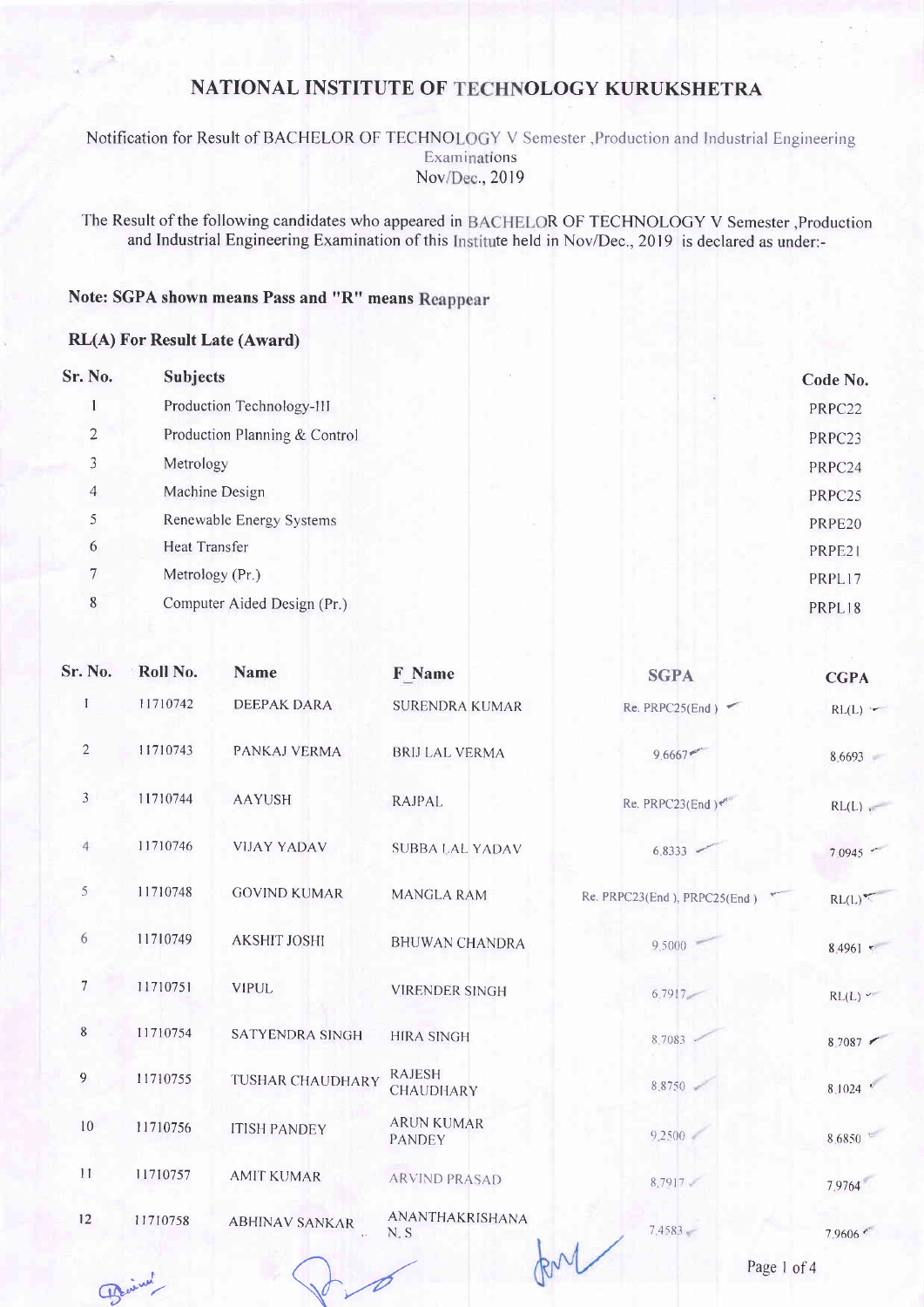Notification for Result of BACHELOR OF TECHNOLOGY V Semester , Production and Industrial Engineering Examinations Nov/Dec., 2019

The Result of the following candidates who appeared in BACHELOR OF TECHNOLOGY V Semester , Production and Industrial Engineering Examination of this Institute held in Nov/Dec., 2019 is declared as under:-

### Note: SGPA shown means Pass and "R" means Reappear

#### **RL(A) For Result Late (Award)**

| Sr. No.        | <b>Subjects</b>               | Code No. |
|----------------|-------------------------------|----------|
|                | Production Technology-III     | PRPC22   |
| $\overline{2}$ | Production Planning & Control | PRPC23   |
| 3              | Metrology                     | PRPC24   |
| $\overline{4}$ | Machine Design                | PRPC25   |
| 5              | Renewable Energy Systems      | PRPE20   |
| 6              | Heat Transfer                 | PRPE21   |
|                | Metrology (Pr.)               | PRPL17   |
| 8              | Computer Aided Design (Pr.)   | PRPL18   |

| Sr. No.        | Roll No. | <b>Name</b>           | F Name                             | <b>SGPA</b>                  | <b>CGPA</b>     |
|----------------|----------|-----------------------|------------------------------------|------------------------------|-----------------|
| $\mathbf{I}$   | 11710742 | <b>DEEPAK DARA</b>    | <b>SURENDRA KUMAR</b>              | Re. PRPC25(End)              | $RL(L)$ :       |
| $\overline{2}$ | 11710743 | PANKAJ VERMA          | <b>BRIJ LAL VERMA</b>              | 9.6667                       | 8.6693          |
| $\mathfrak{Z}$ | 11710744 | <b>AAYUSH</b>         | <b>RAJPAL</b>                      | Re. PRPC23(End) $e^{\pi}$    | RL(L)           |
| $\overline{4}$ | 11710746 | <b>VIJAY YADAV</b>    | <b>SUBBA LAL YADAV</b>             | 6.8333                       | 7.0945 **       |
| 5              | 11710748 | <b>GOVIND KUMAR</b>   | <b>MANGLA RAM</b>                  | Re. PRPC23(End), PRPC25(End) | RL(L)           |
| 6              | 11710749 | <b>AKSHIT JOSHI</b>   | <b>BHUWAN CHANDRA</b>              | 9.5000                       | $8.4961$ $\tau$ |
| $\overline{7}$ | 11710751 | <b>VIPUL</b>          | <b>VIRENDER SINGH</b>              | $6.7917 -$                   | RL(L)           |
| 8              | 11710754 | SATYENDRA SINGH       | <b>HIRA SINGH</b>                  | 8.7083                       | 8.7087          |
| 9              | 11710755 | TUSHAR CHAUDHARY      | <b>RAJESH</b><br>CHAUDHARY         | 8.8750                       | 8.1024          |
| 10             | 11710756 | <b>ITISH PANDEY</b>   | <b>ARUN KUMAR</b><br><b>PANDEY</b> | 9.2500                       | 8.6850 *        |
| 11             | 11710757 | <b>AMIT KUMAR</b>     | <b>ARVIND PRASAD</b>               | 8.7917                       | 7.9764          |
| 12             | 11710758 | <b>ABHINAV SANKAR</b> | ANANTHAKRISHANA<br>$N_{-}S$        | $7.4583 -$                   | 7.9606          |

RN

Benicky

Page 1 of 4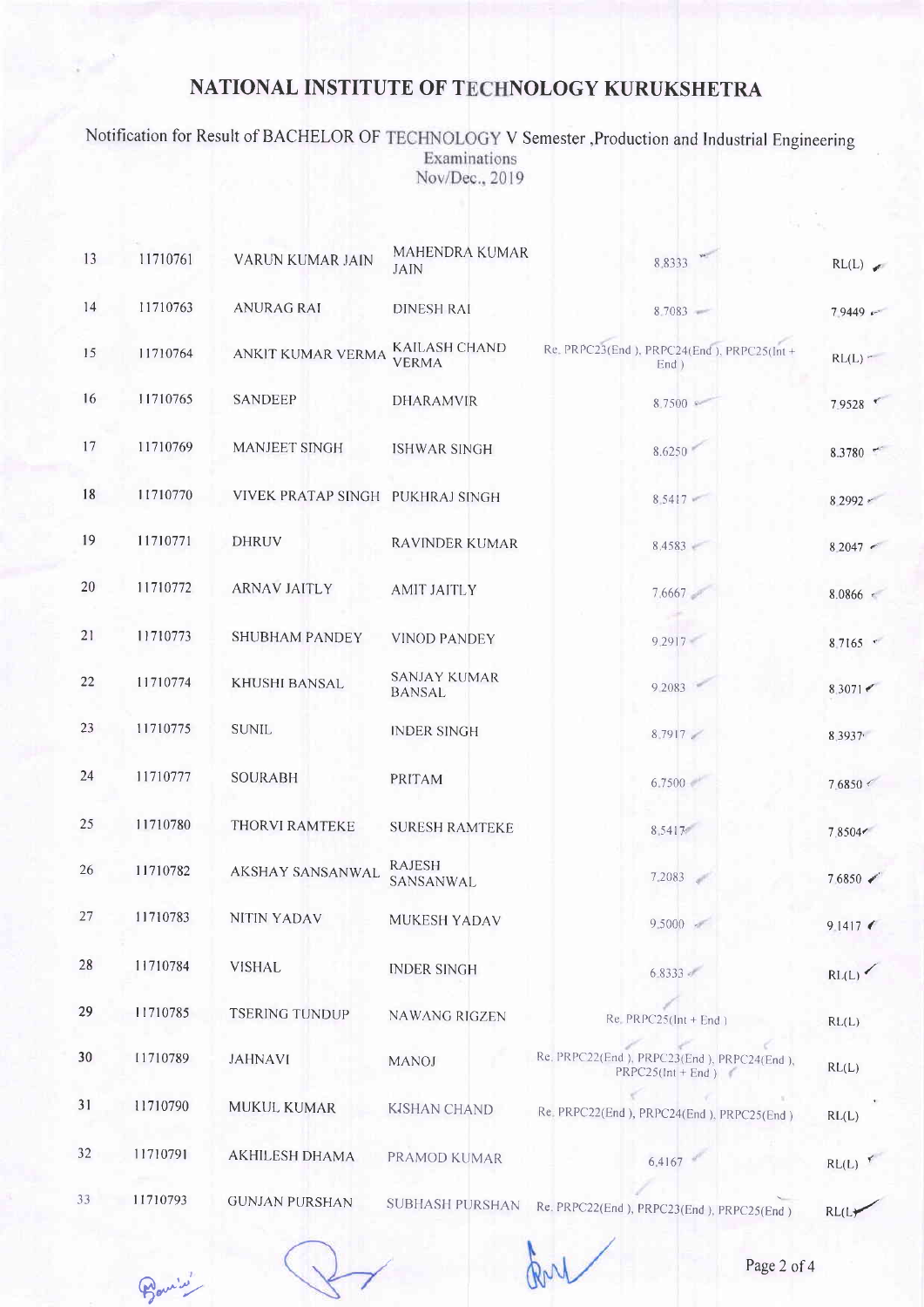Notification for Result of BACHELOR OF TECHNOLOGY V Semester , Production and Industrial Engineering<br>Examinations Nov/Dec., 2019

| 13 | 11710761 | VARUN KUMAR JAIN                 | MAHENDRA KUMAR<br><b>JAIN</b>        | 88333                                                             | RL(L)              |
|----|----------|----------------------------------|--------------------------------------|-------------------------------------------------------------------|--------------------|
| 14 | 11710763 | <b>ANURAG RAI</b>                | <b>DINESH RAI</b>                    | 8.7083                                                            | 79449              |
| 15 | 11710764 | ANKIT KUMAR VERMA                | <b>KAILASH CHAND</b><br><b>VERMA</b> | Re. PRPC23(End), PRPC24(End), PRPC25(Int+<br>$End$ )              | $RL(L)$ -          |
| 16 | 11710765 | <b>SANDEEP</b>                   | <b>DHARAMVIR</b>                     | 8,7500 ₽                                                          | 7.9528 €           |
| 17 | 11710769 | <b>MANJEET SINGH</b>             | <b>ISHWAR SINGH</b>                  | 8.6250                                                            | $8.3780$ $^{-1}$   |
| 18 | 11710770 | VIVEK PRATAP SINGH PUKHRAJ SINGH |                                      | 8.5417                                                            | 8 2992             |
| 19 | 11710771 | <b>DHRUV</b>                     | <b>RAVINDER KUMAR</b>                | 8.4583                                                            | $8,2047$ $\sim$    |
| 20 | 11710772 | <b>ARNAV JAITLY</b>              | <b>AMIT JAITLY</b>                   | 7.6667                                                            | $8.0866$ e         |
| 21 | 11710773 | <b>SHUBHAM PANDEY</b>            | <b>VINOD PANDEY</b>                  | 9.2917                                                            | $8.7165$ $\degree$ |
| 22 | 11710774 | KHUSHI BANSAL                    | <b>SANJAY KUMAR</b><br><b>BANSAL</b> | 9.2083                                                            | 8,3071             |
| 23 | 11710775 | <b>SUNIL</b>                     | <b>INDER SINGH</b>                   | 8.7917                                                            | 8.3937             |
| 24 | 11710777 | <b>SOURABH</b>                   | PRITAM                               | 6.7500                                                            | 7.6850 <           |
| 25 | 11710780 | <b>THORVI RAMTEKE</b>            | <b>SURESH RAMTEKE</b>                | 8.5417                                                            | 7.8504             |
| 26 | 11710782 | AKSHAY SANSANWAL                 | <b>RAJESH</b><br>SANSANWAL           | 7.2083                                                            | 7.6850             |
| 27 | 11710783 | <b>NITIN YADAV</b>               | MUKESH YADAV                         | $9.5000 -$                                                        | 9.1417             |
| 28 | 11710784 | <b>VISHAL</b>                    | <b>INDER SINGH</b>                   | $6.8333 +$                                                        | RL(L)              |
| 29 | 11710785 | <b>TSERING TUNDUP</b>            | <b>NAWANG RIGZEN</b>                 | $Re$ , PRPC25( $Int + End$ )                                      | RL(L)              |
| 30 | 11710789 | <b>JAHNAVI</b>                   | <b>MANOJ</b>                         | Re. PRPC22(End), PRPC23(End), PRPC24(End),<br>$PRPC25(lnt + End)$ | RL(L)              |
| 31 | 11710790 | MUKUL KUMAR                      | <b>KISHAN CHAND</b>                  | Re. PRPC22(End), PRPC24(End), PRPC25(End)                         | RL(L)              |
| 32 | 11710791 | <b>AKHILESH DHAMA</b>            | PRAMOD KUMAR                         | 6.4167                                                            | RL(L)              |
| 33 | 11710793 | <b>GUNJAN PURSHAN</b>            | <b>SUBHASH PURSHAN</b>               | Re. PRPC22(End), PRPC23(End), PRPC25(End)                         | RL(L)              |

Banis

RN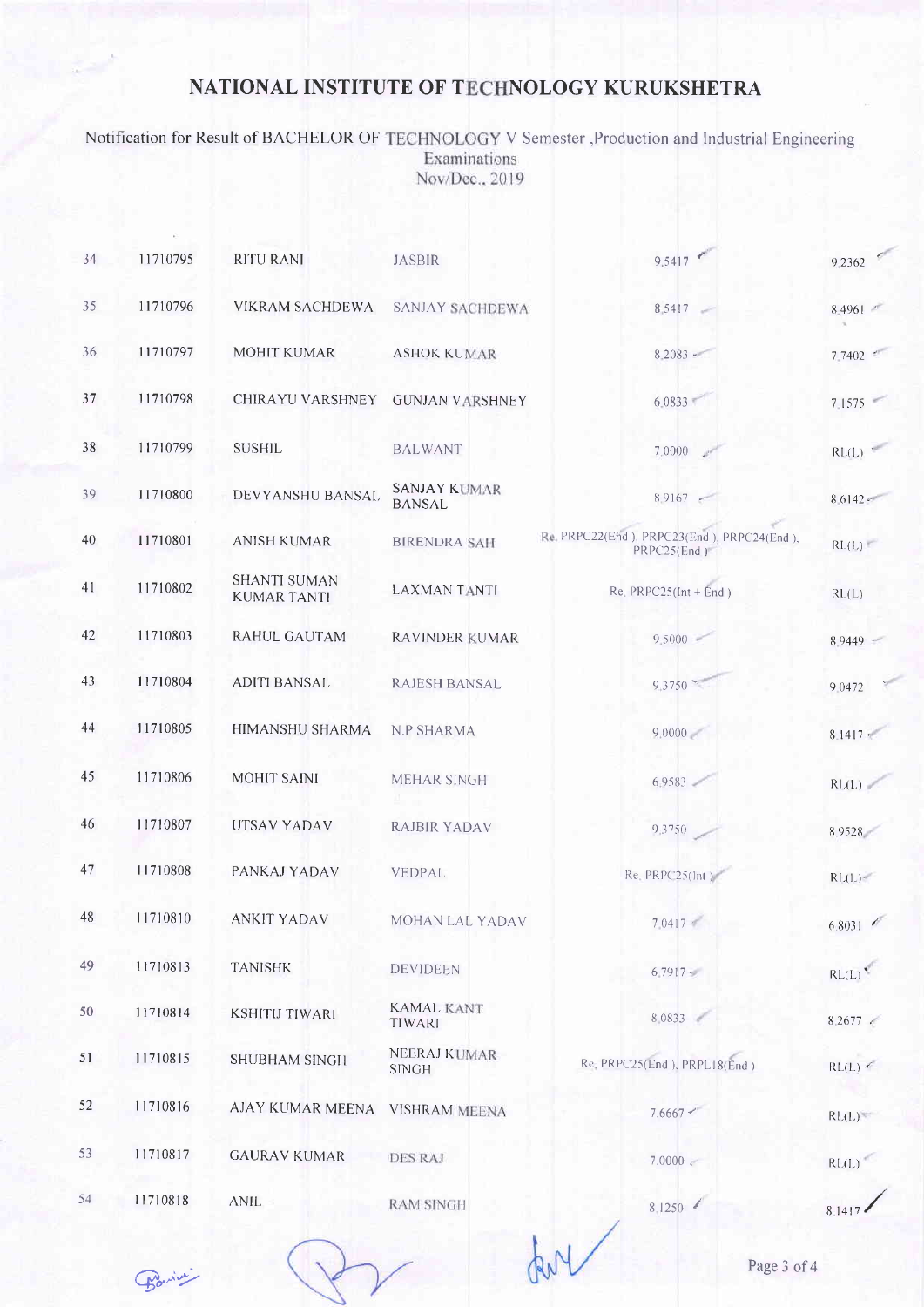Notification for Result of BACHELOR OF TECHNOLOGY V Semester ,Production and Industrial Engineering<br>Examinations Nov/Dec., 2019

| 34 | 11710795 | <b>RITU RANI</b>                          | <b>JASBIR</b>                        | 9.5417                                                    | 9.2362              |
|----|----------|-------------------------------------------|--------------------------------------|-----------------------------------------------------------|---------------------|
| 35 | 11710796 | VIKRAM SACHDEWA                           | <b>SANJAY SACHDEWA</b>               | 8.5417                                                    | 8.4961              |
| 36 | 11710797 | <b>MOHIT KUMAR</b>                        | <b>ASHOK KUMAR</b>                   | $8.2083 -$                                                | 7.7402              |
| 37 | 11710798 | CHIRAYU VARSHNEY                          | <b>GUNJAN VARSHNEY</b>               | 6.0833                                                    | 7.1575              |
| 38 | 11710799 | <b>SUSHIL</b>                             | <b>BALWANT</b>                       | 7,0000                                                    | RL(L)               |
| 39 | 11710800 | DEVYANSHU BANSAL                          | <b>SANJAY KUMAR</b><br><b>BANSAL</b> | $8.9167$ $-$                                              | $8.6142*$           |
| 40 | 11710801 | <b>ANISH KUMAR</b>                        | <b>BIRENDRA SAH</b>                  | Re. PRPC22(End), PRPC23(End), PRPC24(End),<br>PRPC25(End) | RL(L)               |
| 41 | 11710802 | <b>SHANTI SUMAN</b><br><b>KUMAR TANTI</b> | <b>LAXMAN TANTI</b>                  | Re. $PRPC25(int + End)$                                   | RL(L)               |
| 42 | 11710803 | <b>RAHUL GAUTAM</b>                       | <b>RAVINDER KUMAR</b>                | $9.5000 -$                                                | 8.9449              |
| 43 | 11710804 | <b>ADITI BANSAL</b>                       | <b>RAJESH BANSAL</b>                 | 9,3750                                                    | 9.0472              |
| 44 | 11710805 | HIMANSHU SHARMA                           | <b>N.P SHARMA</b>                    | 9.0000                                                    | $8.1417 -$          |
| 45 | 11710806 | <b>MOHIT SAINI</b>                        | <b>MEHAR SINGH</b>                   | $6.9583 -$                                                | RL(L)               |
| 46 | 11710807 | UTSAV YADAV                               | RAJBIR YADAV                         | 9,3750                                                    | 8.9528              |
| 47 | 11710808 | PANKAJ YADAV                              | VEDPAL                               | $Re$ , $PRPC25(int)$                                      | RL(L)               |
| 48 | 11710810 | <b>ANKIT YADAV</b>                        | MOHAN LAL YADAV                      | 7.0417                                                    | 6.8031              |
| 49 | 11710813 | <b>TANISHK</b>                            | <b>DEVIDEEN</b>                      | $6.7917 -$                                                | RL(L)               |
| 50 | 11710814 | <b>KSHITIJ TIWARI</b>                     | <b>KAMAL KANT</b><br>TIWARI          | 8,0833                                                    | $8.2677$ $\epsilon$ |
| 51 | 11710815 | <b>SHUBHAM SINGH</b>                      | <b>NEERAJ KUMAR</b><br><b>SINGH</b>  | Re. PRPC25(End), PRPL18(End)                              | RL(L)               |
| 52 | 11710816 | AJAY KUMAR MEENA                          | <b>VISHRAM MEENA</b>                 | 7.6667 <                                                  | RL(L)               |
| 53 | 11710817 | <b>GAURAV KUMAR</b>                       | <b>DES RAJ</b>                       | 7.0000 <                                                  | RL(L)               |
| 54 | 11710818 | <b>ANIL</b>                               | <b>RAM SINGH</b>                     | 8,1250                                                    |                     |

Barian